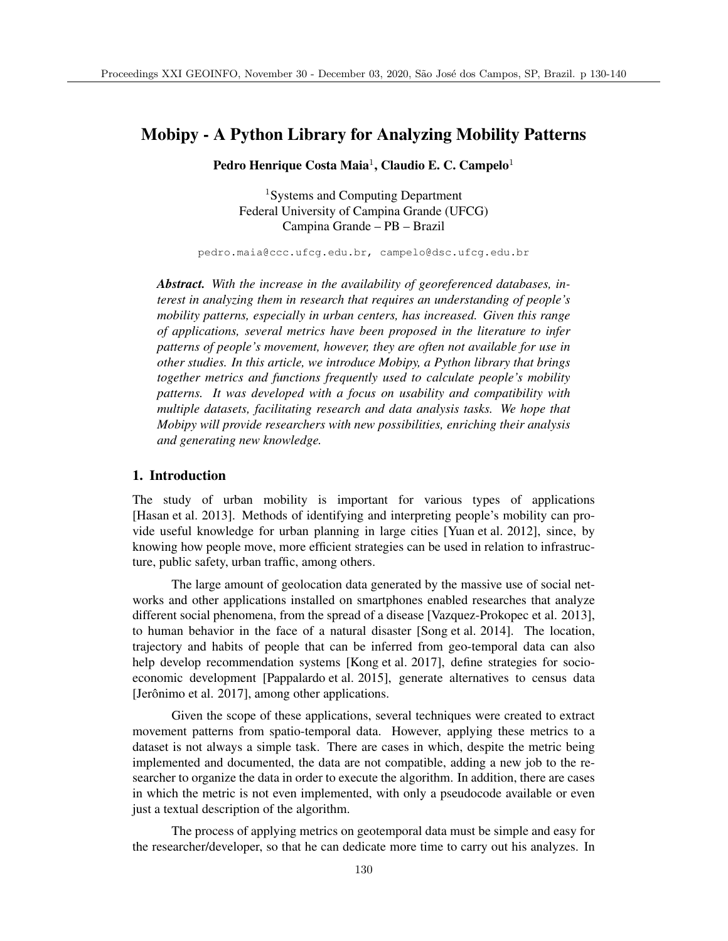# Mobipy - A Python Library for Analyzing Mobility Patterns

Pedro Henrique Costa Maia<sup>1</sup>, Claudio E. C. Campelo<sup>1</sup>

<sup>1</sup>Systems and Computing Department Federal University of Campina Grande (UFCG) Campina Grande – PB – Brazil

pedro.maia@ccc.ufcg.edu.br, campelo@dsc.ufcg.edu.br

*Abstract. With the increase in the availability of georeferenced databases, interest in analyzing them in research that requires an understanding of people's mobility patterns, especially in urban centers, has increased. Given this range of applications, several metrics have been proposed in the literature to infer patterns of people's movement, however, they are often not available for use in other studies. In this article, we introduce Mobipy, a Python library that brings together metrics and functions frequently used to calculate people's mobility patterns. It was developed with a focus on usability and compatibility with multiple datasets, facilitating research and data analysis tasks. We hope that Mobipy will provide researchers with new possibilities, enriching their analysis and generating new knowledge.*

#### 1. Introduction

The study of urban mobility is important for various types of applications [Hasan et al. 2013]. Methods of identifying and interpreting people's mobility can provide useful knowledge for urban planning in large cities [Yuan et al. 2012], since, by knowing how people move, more efficient strategies can be used in relation to infrastructure, public safety, urban traffic, among others.

The large amount of geolocation data generated by the massive use of social networks and other applications installed on smartphones enabled researches that analyze different social phenomena, from the spread of a disease [Vazquez-Prokopec et al. 2013], to human behavior in the face of a natural disaster [Song et al. 2014]. The location, trajectory and habits of people that can be inferred from geo-temporal data can also help develop recommendation systems [Kong et al. 2017], define strategies for socioeconomic development [Pappalardo et al. 2015], generate alternatives to census data [Jerônimo et al. 2017], among other applications.

Given the scope of these applications, several techniques were created to extract movement patterns from spatio-temporal data. However, applying these metrics to a dataset is not always a simple task. There are cases in which, despite the metric being implemented and documented, the data are not compatible, adding a new job to the researcher to organize the data in order to execute the algorithm. In addition, there are cases in which the metric is not even implemented, with only a pseudocode available or even just a textual description of the algorithm.

The process of applying metrics on geotemporal data must be simple and easy for the researcher/developer, so that he can dedicate more time to carry out his analyzes. In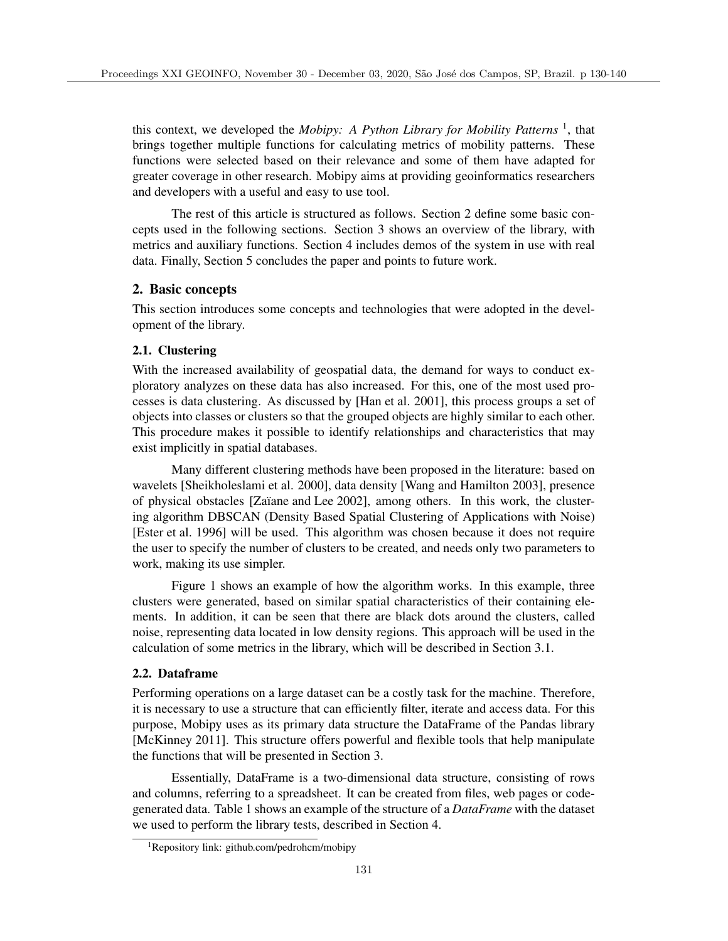this context, we developed the *Mobipy: A Python Library for Mobility Patterns* 1, that brings together multiple functions for calculating metrics of mobility patterns. These functions were selected based on their relevance and some of them have adapted for greater coverage in other research. Mobipy aims at providing geoinformatics researchers and developers with a useful and easy to use tool.

The rest of this article is structured as follows. Section 2 define some basic concepts used in the following sections. Section 3 shows an overview of the library, with metrics and auxiliary functions. Section 4 includes demos of the system in use with real data. Finally, Section 5 concludes the paper and points to future work.

## 2. Basic concepts

This section introduces some concepts and technologies that were adopted in the development of the library.

## 2.1. Clustering

With the increased availability of geospatial data, the demand for ways to conduct exploratory analyzes on these data has also increased. For this, one of the most used processes is data clustering. As discussed by [Han et al. 2001], this process groups a set of objects into classes or clusters so that the grouped objects are highly similar to each other. This procedure makes it possible to identify relationships and characteristics that may exist implicitly in spatial databases.

Many different clustering methods have been proposed in the literature: based on wavelets [Sheikholeslami et al. 2000], data density [Wang and Hamilton 2003], presence of physical obstacles [Za¨ıane and Lee 2002], among others. In this work, the clustering algorithm DBSCAN (Density Based Spatial Clustering of Applications with Noise) [Ester et al. 1996] will be used. This algorithm was chosen because it does not require the user to specify the number of clusters to be created, and needs only two parameters to work, making its use simpler.

Figure 1 shows an example of how the algorithm works. In this example, three clusters were generated, based on similar spatial characteristics of their containing elements. In addition, it can be seen that there are black dots around the clusters, called noise, representing data located in low density regions. This approach will be used in the calculation of some metrics in the library, which will be described in Section 3.1.

## 2.2. Dataframe

Performing operations on a large dataset can be a costly task for the machine. Therefore, it is necessary to use a structure that can efficiently filter, iterate and access data. For this purpose, Mobipy uses as its primary data structure the DataFrame of the Pandas library [McKinney 2011]. This structure offers powerful and flexible tools that help manipulate the functions that will be presented in Section 3.

Essentially, DataFrame is a two-dimensional data structure, consisting of rows and columns, referring to a spreadsheet. It can be created from files, web pages or codegenerated data. Table 1 shows an example of the structure of a *DataFrame* with the dataset we used to perform the library tests, described in Section 4.

<sup>&</sup>lt;sup>1</sup>Repository link: github.com/pedrohcm/mobipy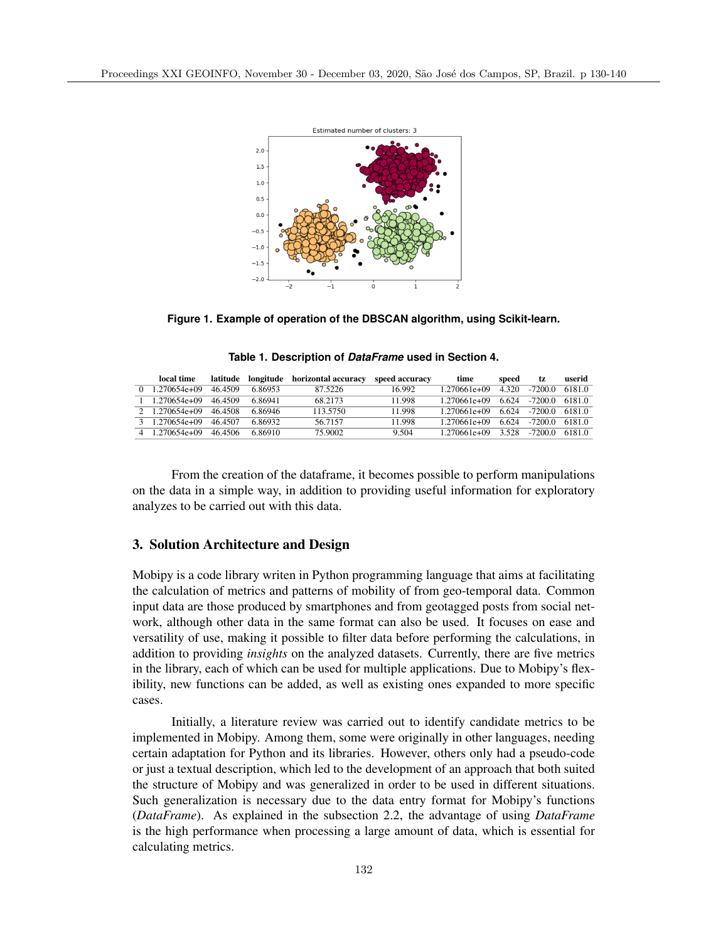

**Figure 1. Example of operation of the DBSCAN algorithm, using Scikit-learn.**

**Table 1. Description of** *DataFrame* **used in Section 4.**

| local time     |         | latitude longitude | horizontal accuracy | speed accuracy | time         | speed | tz.      | userid |
|----------------|---------|--------------------|---------------------|----------------|--------------|-------|----------|--------|
| 1.270654e+09   | 46.4509 | 6.86953            | 87.5226             | 16.992         | 1 270661e+09 | 4.320 | $-72000$ | 61810  |
| 1.270654e+09   | 46.4509 | 686941             | 68 2173             | 11.998         | 1.270661e+09 | 6.624 | $-72000$ | 61810  |
| 2 1.270654e+09 | 464508  | 6.86946            | 113.5750            | 11.998         | 1 270661e+09 | 6.624 | $-72000$ | 61810  |
| 1.270654e+09   | 464507  | 6.86932            | 56 71 57            | 11.998         | 1 270661e+09 | 6.624 | $-72000$ | 6181.0 |
| 1.270654e+09   | 464506  | 6.86910            | 75.9002             | 9.504          | 1 270661e+09 | 3.528 | $-72000$ | 61810  |

From the creation of the dataframe, it becomes possible to perform manipulations on the data in a simple way, in addition to providing useful information for exploratory analyzes to be carried out with this data.

### 3. Solution Architecture and Design

Mobipy is a code library writen in Python programming language that aims at facilitating the calculation of metrics and patterns of mobility of from geo-temporal data. Common input data are those produced by smartphones and from geotagged posts from social network, although other data in the same format can also be used. It focuses on ease and versatility of use, making it possible to filter data before performing the calculations, in addition to providing *insights* on the analyzed datasets. Currently, there are five metrics in the library, each of which can be used for multiple applications. Due to Mobipy's flexibility, new functions can be added, as well as existing ones expanded to more specific cases.

Initially, a literature review was carried out to identify candidate metrics to be implemented in Mobipy. Among them, some were originally in other languages, needing certain adaptation for Python and its libraries. However, others only had a pseudo-code or just a textual description, which led to the development of an approach that both suited the structure of Mobipy and was generalized in order to be used in different situations. Such generalization is necessary due to the data entry format for Mobipy's functions (*DataFrame*). As explained in the subsection 2.2, the advantage of using *DataFrame* is the high performance when processing a large amount of data, which is essential for calculating metrics.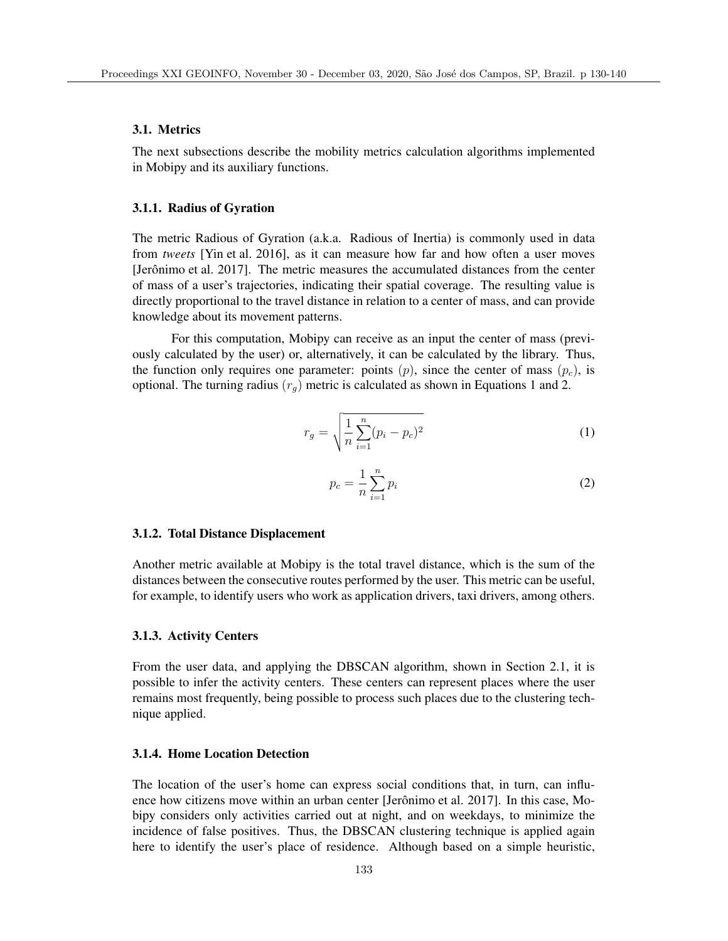#### 3.1. Metrics

The next subsections describe the mobility metrics calculation algorithms implemented in Mobipy and its auxiliary functions.

#### 3.1.1. Radius of Gyration

The metric Radious of Gyration (a.k.a. Radious of Inertia) is commonly used in data from *tweets* [Yin et al. 2016], as it can measure how far and how often a user moves [Jerônimo et al. 2017]. The metric measures the accumulated distances from the center of mass of a user's trajectories, indicating their spatial coverage. The resulting value is directly proportional to the travel distance in relation to a center of mass, and can provide knowledge about its movement patterns.

For this computation, Mobipy can receive as an input the center of mass (previously calculated by the user) or, alternatively, it can be calculated by the library. Thus, the function only requires one parameter: points  $(p)$ , since the center of mass  $(p_c)$ , is optional. The turning radius  $(r_q)$  metric is calculated as shown in Equations 1 and 2.

$$
r_g = \sqrt{\frac{1}{n} \sum_{i=1}^{n} (p_i - p_c)^2}
$$
 (1)

$$
p_c = \frac{1}{n} \sum_{i=1}^{n} p_i
$$
\n<sup>(2)</sup>

#### 3.1.2. Total Distance Displacement

Another metric available at Mobipy is the total travel distance, which is the sum of the distances between the consecutive routes performed by the user. This metric can be useful, for example, to identify users who work as application drivers, taxi drivers, among others.

#### 3.1.3. Activity Centers

From the user data, and applying the DBSCAN algorithm, shown in Section 2.1, it is possible to infer the activity centers. These centers can represent places where the user remains most frequently, being possible to process such places due to the clustering technique applied.

### 3.1.4. Home Location Detection

The location of the user's home can express social conditions that, in turn, can influence how citizens move within an urban center [Jerônimo et al. 2017]. In this case, Mobipy considers only activities carried out at night, and on weekdays, to minimize the incidence of false positives. Thus, the DBSCAN clustering technique is applied again here to identify the user's place of residence. Although based on a simple heuristic,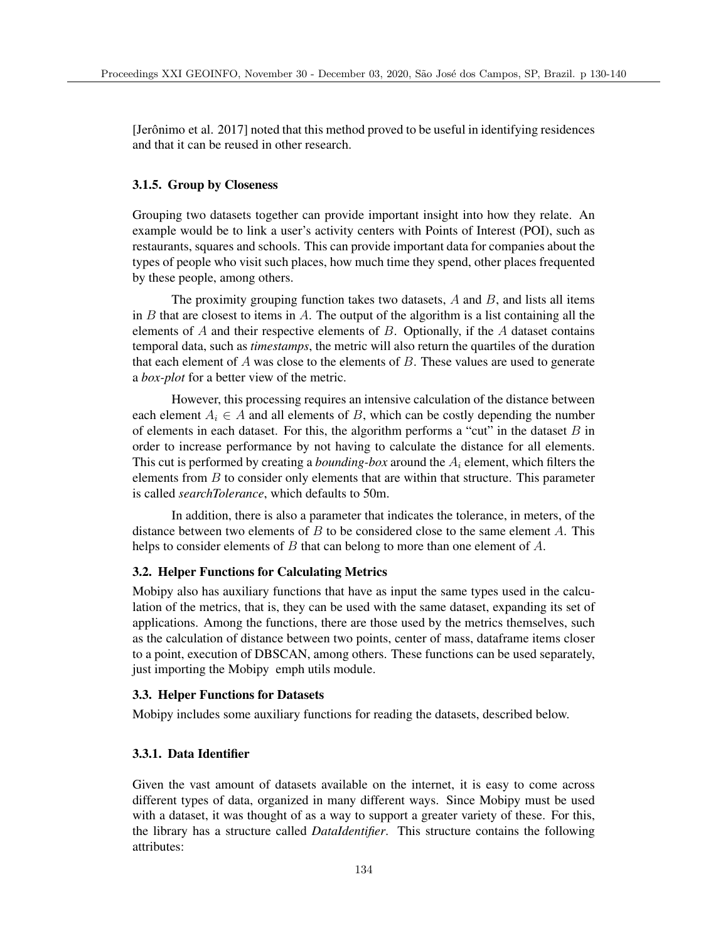[Jerônimo et al. 2017] noted that this method proved to be useful in identifying residences and that it can be reused in other research.

#### 3.1.5. Group by Closeness

Grouping two datasets together can provide important insight into how they relate. An example would be to link a user's activity centers with Points of Interest (POI), such as restaurants, squares and schools. This can provide important data for companies about the types of people who visit such places, how much time they spend, other places frequented by these people, among others.

The proximity grouping function takes two datasets, *A* and *B*, and lists all items in *B* that are closest to items in *A*. The output of the algorithm is a list containing all the elements of *A* and their respective elements of *B*. Optionally, if the *A* dataset contains temporal data, such as *timestamps*, the metric will also return the quartiles of the duration that each element of *A* was close to the elements of *B*. These values are used to generate a *box-plot* for a better view of the metric.

However, this processing requires an intensive calculation of the distance between each element  $A_i \in A$  and all elements of *B*, which can be costly depending the number of elements in each dataset. For this, the algorithm performs a "cut" in the dataset *B* in order to increase performance by not having to calculate the distance for all elements. This cut is performed by creating a *bounding-box* around the *A<sup>i</sup>* element, which filters the elements from *B* to consider only elements that are within that structure. This parameter is called *searchTolerance*, which defaults to 50m.

In addition, there is also a parameter that indicates the tolerance, in meters, of the distance between two elements of *B* to be considered close to the same element *A*. This helps to consider elements of *B* that can belong to more than one element of *A*.

#### 3.2. Helper Functions for Calculating Metrics

Mobipy also has auxiliary functions that have as input the same types used in the calculation of the metrics, that is, they can be used with the same dataset, expanding its set of applications. Among the functions, there are those used by the metrics themselves, such as the calculation of distance between two points, center of mass, dataframe items closer to a point, execution of DBSCAN, among others. These functions can be used separately, just importing the Mobipy emph utils module.

#### 3.3. Helper Functions for Datasets

Mobipy includes some auxiliary functions for reading the datasets, described below.

### 3.3.1. Data Identifier

Given the vast amount of datasets available on the internet, it is easy to come across different types of data, organized in many different ways. Since Mobipy must be used with a dataset, it was thought of as a way to support a greater variety of these. For this, the library has a structure called *DataIdentifier*. This structure contains the following attributes: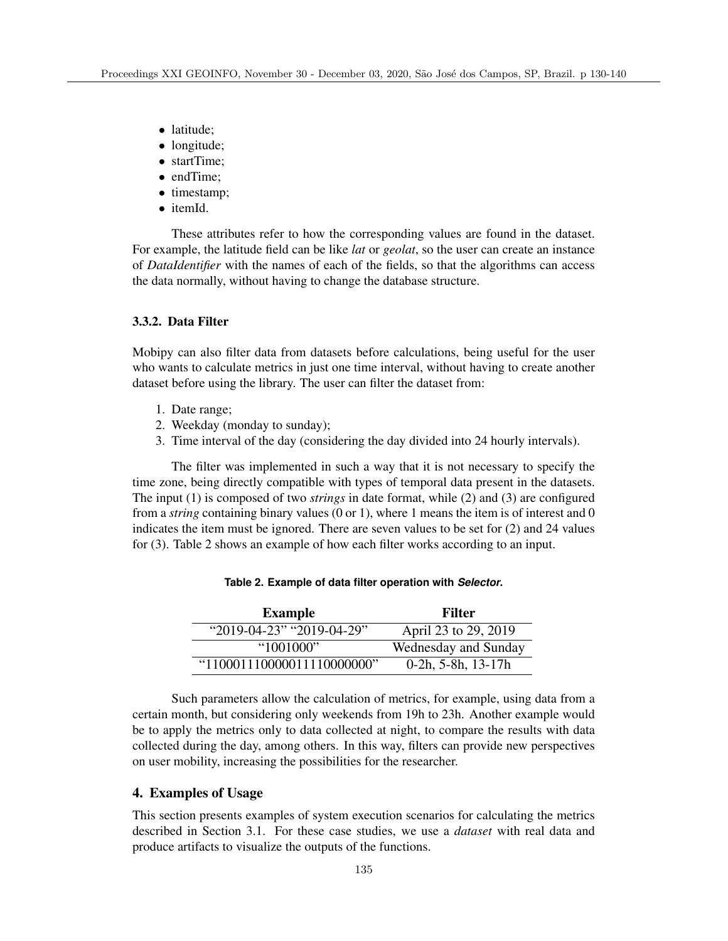- *•* latitude;
- longitude;
- *•* startTime;
- *•* endTime;
- *•* timestamp;
- *•* itemId.

These attributes refer to how the corresponding values are found in the dataset. For example, the latitude field can be like *lat* or *geolat*, so the user can create an instance of *DataIdentifier* with the names of each of the fields, so that the algorithms can access the data normally, without having to change the database structure.

### 3.3.2. Data Filter

Mobipy can also filter data from datasets before calculations, being useful for the user who wants to calculate metrics in just one time interval, without having to create another dataset before using the library. The user can filter the dataset from:

- 1. Date range;
- 2. Weekday (monday to sunday);
- 3. Time interval of the day (considering the day divided into 24 hourly intervals).

The filter was implemented in such a way that it is not necessary to specify the time zone, being directly compatible with types of temporal data present in the datasets. The input (1) is composed of two *strings* in date format, while (2) and (3) are configured from a *string* containing binary values (0 or 1), where 1 means the item is of interest and 0 indicates the item must be ignored. There are seven values to be set for (2) and 24 values for (3). Table 2 shows an example of how each filter works according to an input.

| <b>Example</b>                    | Filter                |
|-----------------------------------|-----------------------|
| " $2019-04-23$ " " $2019-04-29$ " | April 23 to 29, 2019  |
| "1001000"                         | Wednesday and Sunday  |
| "110001110000011110000000"        | $0-2h$ , 5-8h, 13-17h |

**Table 2. Example of data filter operation with** *Selector***.**

Such parameters allow the calculation of metrics, for example, using data from a certain month, but considering only weekends from 19h to 23h. Another example would be to apply the metrics only to data collected at night, to compare the results with data collected during the day, among others. In this way, filters can provide new perspectives on user mobility, increasing the possibilities for the researcher.

### 4. Examples of Usage

This section presents examples of system execution scenarios for calculating the metrics described in Section 3.1. For these case studies, we use a *dataset* with real data and produce artifacts to visualize the outputs of the functions.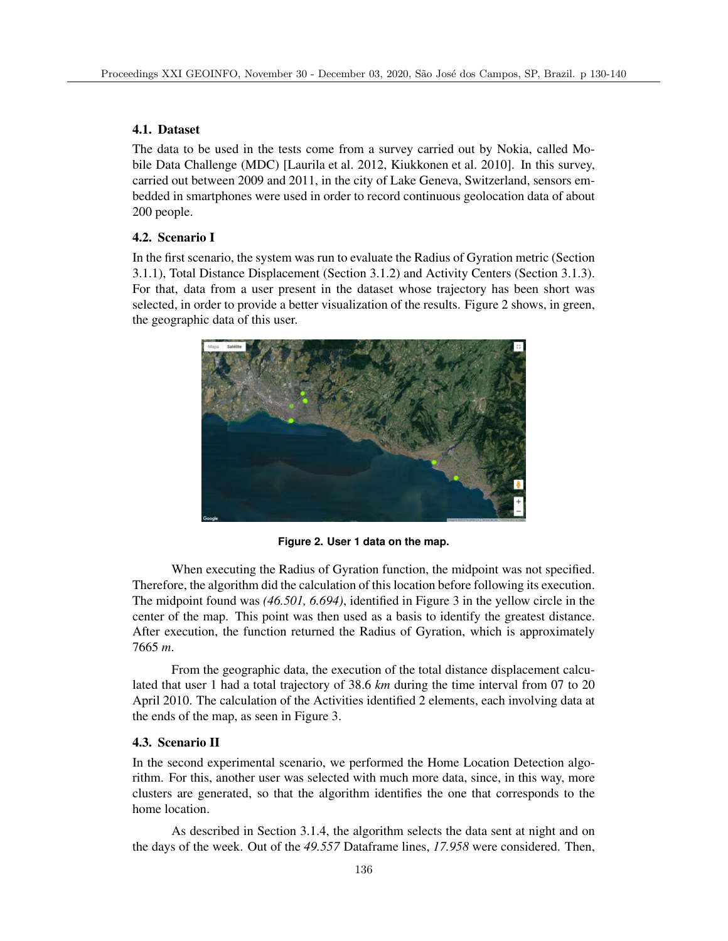## 4.1. Dataset

The data to be used in the tests come from a survey carried out by Nokia, called Mobile Data Challenge (MDC) [Laurila et al. 2012, Kiukkonen et al. 2010]. In this survey, carried out between 2009 and 2011, in the city of Lake Geneva, Switzerland, sensors embedded in smartphones were used in order to record continuous geolocation data of about 200 people.

## 4.2. Scenario I

In the first scenario, the system was run to evaluate the Radius of Gyration metric (Section 3.1.1), Total Distance Displacement (Section 3.1.2) and Activity Centers (Section 3.1.3). For that, data from a user present in the dataset whose trajectory has been short was selected, in order to provide a better visualization of the results. Figure 2 shows, in green, the geographic data of this user.



**Figure 2. User 1 data on the map.**

When executing the Radius of Gyration function, the midpoint was not specified. Therefore, the algorithm did the calculation of this location before following its execution. The midpoint found was *(46.501, 6.694)*, identified in Figure 3 in the yellow circle in the center of the map. This point was then used as a basis to identify the greatest distance. After execution, the function returned the Radius of Gyration, which is approximately 7665 *m*.

From the geographic data, the execution of the total distance displacement calculated that user 1 had a total trajectory of 38.6 *km* during the time interval from 07 to 20 April 2010. The calculation of the Activities identified 2 elements, each involving data at the ends of the map, as seen in Figure 3.

## 4.3. Scenario II

In the second experimental scenario, we performed the Home Location Detection algorithm. For this, another user was selected with much more data, since, in this way, more clusters are generated, so that the algorithm identifies the one that corresponds to the home location.

As described in Section 3.1.4, the algorithm selects the data sent at night and on the days of the week. Out of the *49.557* Dataframe lines, *17.958* were considered. Then,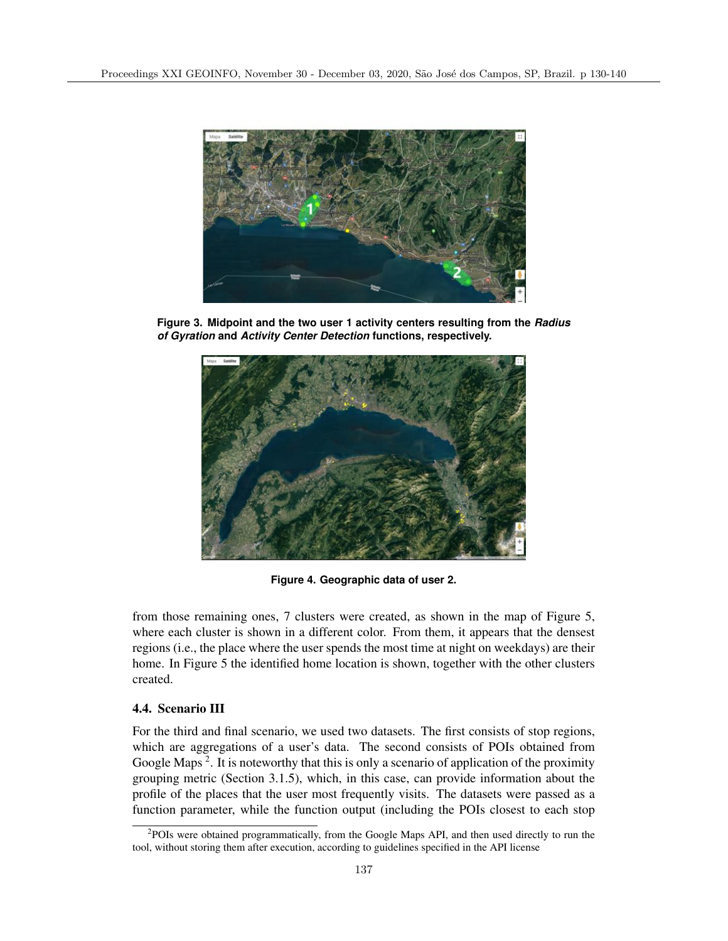

**Figure 3. Midpoint and the two user 1 activity centers resulting from the** *Radius of Gyration* **and** *Activity Center Detection* **functions, respectively.**



**Figure 4. Geographic data of user 2.**

from those remaining ones, 7 clusters were created, as shown in the map of Figure 5, where each cluster is shown in a different color. From them, it appears that the densest regions (i.e., the place where the user spends the most time at night on weekdays) are their home. In Figure 5 the identified home location is shown, together with the other clusters created.

## 4.4. Scenario III

For the third and final scenario, we used two datasets. The first consists of stop regions, which are aggregations of a user's data. The second consists of POIs obtained from Google Maps<sup>2</sup>. It is noteworthy that this is only a scenario of application of the proximity grouping metric (Section 3.1.5), which, in this case, can provide information about the profile of the places that the user most frequently visits. The datasets were passed as a function parameter, while the function output (including the POIs closest to each stop

 $2$ POIs were obtained programmatically, from the Google Maps API, and then used directly to run the tool, without storing them after execution, according to guidelines specified in the API license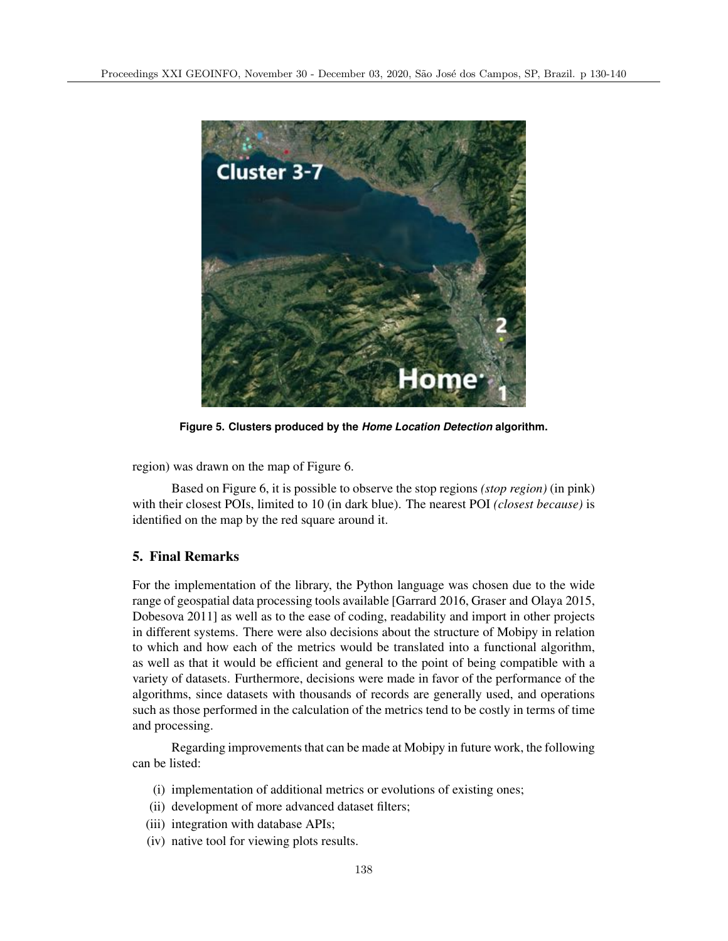

**Figure 5. Clusters produced by the** *Home Location Detection* **algorithm.**

region) was drawn on the map of Figure 6.

Based on Figure 6, it is possible to observe the stop regions *(stop region)* (in pink) with their closest POIs, limited to 10 (in dark blue). The nearest POI *(closest because)* is identified on the map by the red square around it.

# 5. Final Remarks

For the implementation of the library, the Python language was chosen due to the wide range of geospatial data processing tools available [Garrard 2016, Graser and Olaya 2015, Dobesova 2011] as well as to the ease of coding, readability and import in other projects in different systems. There were also decisions about the structure of Mobipy in relation to which and how each of the metrics would be translated into a functional algorithm, as well as that it would be efficient and general to the point of being compatible with a variety of datasets. Furthermore, decisions were made in favor of the performance of the algorithms, since datasets with thousands of records are generally used, and operations such as those performed in the calculation of the metrics tend to be costly in terms of time and processing.

Regarding improvements that can be made at Mobipy in future work, the following can be listed:

- (i) implementation of additional metrics or evolutions of existing ones;
- (ii) development of more advanced dataset filters;
- (iii) integration with database APIs;
- (iv) native tool for viewing plots results.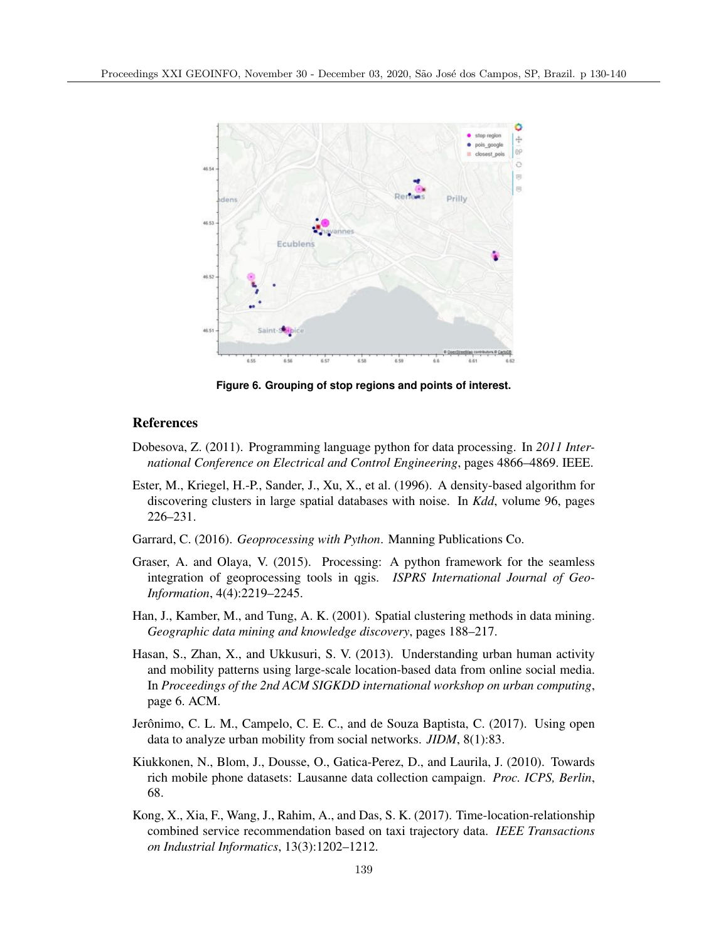

**Figure 6. Grouping of stop regions and points of interest.**

#### References

- Dobesova, Z. (2011). Programming language python for data processing. In *2011 International Conference on Electrical and Control Engineering*, pages 4866–4869. IEEE.
- Ester, M., Kriegel, H.-P., Sander, J., Xu, X., et al. (1996). A density-based algorithm for discovering clusters in large spatial databases with noise. In *Kdd*, volume 96, pages 226–231.
- Garrard, C. (2016). *Geoprocessing with Python*. Manning Publications Co.
- Graser, A. and Olaya, V. (2015). Processing: A python framework for the seamless integration of geoprocessing tools in qgis. *ISPRS International Journal of Geo-Information*, 4(4):2219–2245.
- Han, J., Kamber, M., and Tung, A. K. (2001). Spatial clustering methods in data mining. *Geographic data mining and knowledge discovery*, pages 188–217.
- Hasan, S., Zhan, X., and Ukkusuri, S. V. (2013). Understanding urban human activity and mobility patterns using large-scale location-based data from online social media. In *Proceedings of the 2nd ACM SIGKDD international workshop on urban computing*, page 6. ACM.
- Jerônimo, C. L. M., Campelo, C. E. C., and de Souza Baptista, C. (2017). Using open data to analyze urban mobility from social networks. *JIDM*, 8(1):83.
- Kiukkonen, N., Blom, J., Dousse, O., Gatica-Perez, D., and Laurila, J. (2010). Towards rich mobile phone datasets: Lausanne data collection campaign. *Proc. ICPS, Berlin*, 68.
- Kong, X., Xia, F., Wang, J., Rahim, A., and Das, S. K. (2017). Time-location-relationship combined service recommendation based on taxi trajectory data. *IEEE Transactions on Industrial Informatics*, 13(3):1202–1212.